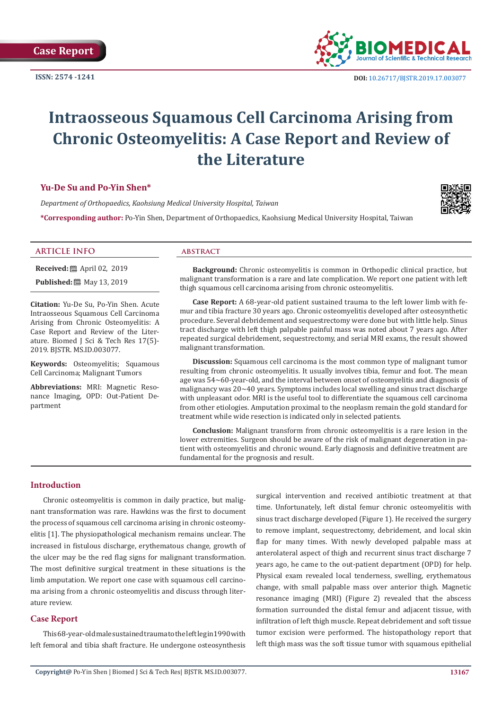**ISSN: 2574 -1241**



# **Intraosseous Squamous Cell Carcinoma Arising from Chronic Osteomyelitis: A Case Report and Review of the Literature**

## **Yu-De Su and Po-Yin Shen\***

*Department of Orthopaedics, Kaohsiung Medical University Hospital, Taiwan*

**\*Corresponding author:** Po-Yin Shen, Department of Orthopaedics, Kaohsiung Medical University Hospital, Taiwan



#### **ARTICLE INFO abstract**

**Received:** 圖 April 02, 2019

**Published:** ■ May 13, 2019

**Citation:** Yu-De Su, Po-Yin Shen. Acute Intraosseous Squamous Cell Carcinoma Arising from Chronic Osteomyelitis: A Case Report and Review of the Literature. Biomed J Sci & Tech Res 17(5)- 2019. BJSTR. MS.ID.003077.

**Keywords:** Osteomyelitis; Squamous Cell Carcinoma; Malignant Tumors

**Abbreviations:** MRI: Magnetic Resonance Imaging, OPD: Out-Patient Department

**Background:** Chronic osteomyelitis is common in Orthopedic clinical practice, but malignant transformation is a rare and late complication. We report one patient with left thigh squamous cell carcinoma arising from chronic osteomyelitis.

**Case Report:** A 68-year-old patient sustained trauma to the left lower limb with femur and tibia fracture 30 years ago. Chronic osteomyelitis developed after osteosynthetic procedure. Several debridement and sequestrectomy were done but with little help. Sinus tract discharge with left thigh palpable painful mass was noted about 7 years ago. After repeated surgical debridement, sequestrectomy, and serial MRI exams, the result showed malignant transformation.

**Discussion:** Squamous cell carcinoma is the most common type of malignant tumor resulting from chronic osteomyelitis. It usually involves tibia, femur and foot. The mean age was 54~60-year-old, and the interval between onset of osteomyelitis and diagnosis of malignancy was 20~40 years. Symptoms includes local swelling and sinus tract discharge with unpleasant odor. MRI is the useful tool to differentiate the squamous cell carcinoma from other etiologies. Amputation proximal to the neoplasm remain the gold standard for treatment while wide resection is indicated only in selected patients.

**Conclusion:** Malignant transform from chronic osteomyelitis is a rare lesion in the lower extremities. Surgeon should be aware of the risk of malignant degeneration in patient with osteomyelitis and chronic wound. Early diagnosis and definitive treatment are fundamental for the prognosis and result.

#### **Introduction**

Chronic osteomyelitis is common in daily practice, but malignant transformation was rare. Hawkins was the first to document the process of squamous cell carcinoma arising in chronic osteomyelitis [1]. The physiopathological mechanism remains unclear. The increased in fistulous discharge, erythematous change, growth of the ulcer may be the red flag signs for malignant transformation. The most definitive surgical treatment in these situations is the limb amputation. We report one case with squamous cell carcinoma arising from a chronic osteomyelitis and discuss through literature review.

## **Case Report**

This 68-year-old male sustained trauma to the left leg in1990 with left femoral and tibia shaft fracture. He undergone osteosynthesis surgical intervention and received antibiotic treatment at that time. Unfortunately, left distal femur chronic osteomyelitis with sinus tract discharge developed (Figure 1). He received the surgery to remove implant, sequestrectomy, debridement, and local skin flap for many times. With newly developed palpable mass at anterolateral aspect of thigh and recurrent sinus tract discharge 7 years ago, he came to the out-patient department (OPD) for help. Physical exam revealed local tenderness, swelling, erythematous change, with small palpable mass over anterior thigh. Magnetic resonance imaging (MRI) (Figure 2) revealed that the abscess formation surrounded the distal femur and adjacent tissue, with infiltration of left thigh muscle. Repeat debridement and soft tissue tumor excision were performed. The histopathology report that left thigh mass was the soft tissue tumor with squamous epithelial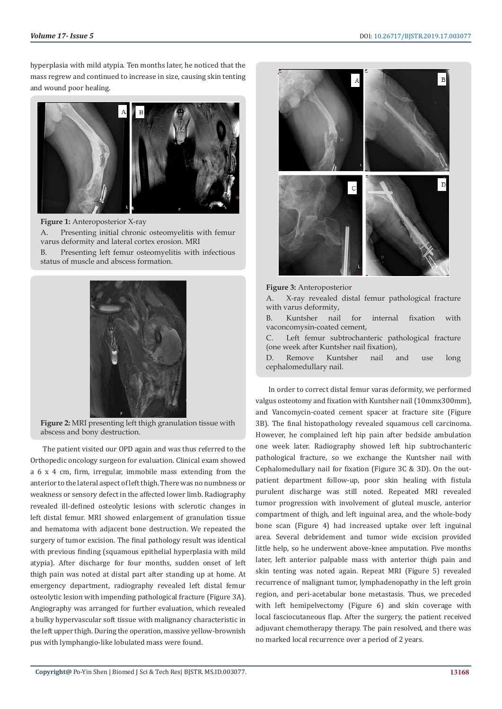hyperplasia with mild atypia. Ten months later, he noticed that the mass regrew and continued to increase in size, causing skin tenting and wound poor healing.



**Figure 1:** Anteroposterior X-ray A. Presenting initial chronic osteomyelitis with femur varus deformity and lateral cortex erosion. MRI B. Presenting left femur osteomyelitis with infectious status of muscle and abscess formation.



**Figure 2:** MRI presenting left thigh granulation tissue with abscess and bony destruction.

The patient visited our OPD again and was thus referred to the Orthopedic oncology surgeon for evaluation. Clinical exam showed a 6 x 4 cm, firm, irregular, immobile mass extending from the anterior to the lateral aspect of left thigh. There was no numbness or weakness or sensory defect in the affected lower limb. Radiography revealed ill-defined osteolytic lesions with sclerotic changes in left distal femur. MRI showed enlargement of granulation tissue and hematoma with adjacent bone destruction. We repeated the surgery of tumor excision. The final pathology result was identical with previous finding (squamous epithelial hyperplasia with mild atypia). After discharge for four months, sudden onset of left thigh pain was noted at distal part after standing up at home. At emergency department, radiography revealed left distal femur osteolytic lesion with impending pathological fracture (Figure 3A). Angiography was arranged for further evaluation, which revealed a bulky hypervascular soft tissue with malignancy characteristic in the left upper thigh. During the operation, massive yellow-brownish pus with lymphangio-like lobulated mass were found.



#### **Figure 3:** Anteroposterior

A. X-ray revealed distal femur pathological fracture with varus deformity,

B. Kuntsher nail for internal fixation with vaconcomysin-coated cement,

C. Left femur subtrochanteric pathological fracture (one week after Kuntsher nail fixation),

D. Remove Kuntsher nail and use long cephalomedullary nail.

In order to correct distal femur varas deformity, we performed valgus osteotomy and fixation with Kuntsher nail (10mmx300mm), and Vancomycin-coated cement spacer at fracture site (Figure 3B). The final histopathology revealed squamous cell carcinoma. However, he complained left hip pain after bedside ambulation one week later. Radiography showed left hip subtrochanteric pathological fracture, so we exchange the Kuntsher nail with Cephalomedullary nail for fixation (Figure 3C & 3D). On the outpatient department follow-up, poor skin healing with fistula purulent discharge was still noted. Repeated MRI revealed tumor progression with involvement of gluteal muscle, anterior compartment of thigh, and left inguinal area, and the whole-body bone scan (Figure 4) had increased uptake over left inguinal area. Several debridement and tumor wide excision provided little help, so he underwent above-knee amputation. Five months later, left anterior palpable mass with anterior thigh pain and skin tenting was noted again. Repeat MRI (Figure 5) revealed recurrence of malignant tumor, lymphadenopathy in the left groin region, and peri-acetabular bone metastasis. Thus, we preceded with left hemipelvectomy (Figure 6) and skin coverage with local fasciocutaneous flap. After the surgery, the patient received adjuvant chemotherapy therapy. The pain resolved, and there was no marked local recurrence over a period of 2 years.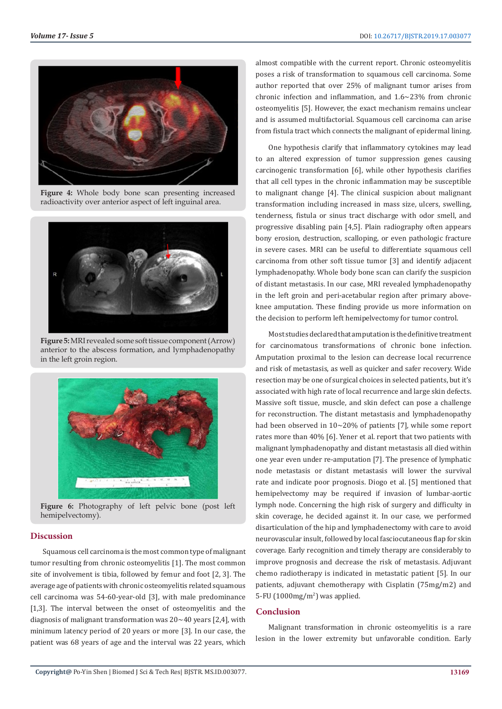

**Figure 4:** Whole body bone scan presenting increased radioactivity over anterior aspect of left inguinal area.



**Figure 5:** MRI revealed some soft tissue component (Arrow) anterior to the abscess formation, and lymphadenopathy in the left groin region.



**Figure 6:** Photography of left pelvic bone (post left hemipelvectomy).

#### **Discussion**

Squamous cell carcinoma is the most common type of malignant tumor resulting from chronic osteomyelitis [1]. The most common site of involvement is tibia, followed by femur and foot [2, 3]. The average age of patients with chronic osteomyelitis related squamous cell carcinoma was 54-60-year-old [3], with male predominance [1,3]. The interval between the onset of osteomyelitis and the diagnosis of malignant transformation was 20~40 years [2,4], with minimum latency period of 20 years or more [3]. In our case, the patient was 68 years of age and the interval was 22 years, which

almost compatible with the current report. Chronic osteomyelitis poses a risk of transformation to squamous cell carcinoma. Some author reported that over 25% of malignant tumor arises from chronic infection and inflammation, and 1.6~23% from chronic osteomyelitis [5]. However, the exact mechanism remains unclear and is assumed multifactorial. Squamous cell carcinoma can arise from fistula tract which connects the malignant of epidermal lining.

One hypothesis clarify that inflammatory cytokines may lead to an altered expression of tumor suppression genes causing carcinogenic transformation [6], while other hypothesis clarifies that all cell types in the chronic inflammation may be susceptible to malignant change [4]. The clinical suspicion about malignant transformation including increased in mass size, ulcers, swelling, tenderness, fistula or sinus tract discharge with odor smell, and progressive disabling pain [4,5]. Plain radiography often appears bony erosion, destruction, scalloping, or even pathologic fracture in severe cases. MRI can be useful to differentiate squamous cell carcinoma from other soft tissue tumor [3] and identify adjacent lymphadenopathy. Whole body bone scan can clarify the suspicion of distant metastasis. In our case, MRI revealed lymphadenopathy in the left groin and peri-acetabular region after primary aboveknee amputation. These finding provide us more information on the decision to perform left hemipelvectomy for tumor control.

Most studies declared that amputation is the definitive treatment for carcinomatous transformations of chronic bone infection. Amputation proximal to the lesion can decrease local recurrence and risk of metastasis, as well as quicker and safer recovery. Wide resection may be one of surgical choices in selected patients, but it's associated with high rate of local recurrence and large skin defects. Massive soft tissue, muscle, and skin defect can pose a challenge for reconstruction. The distant metastasis and lymphadenopathy had been observed in 10~20% of patients [7], while some report rates more than 40% [6]. Yener et al. report that two patients with malignant lymphadenopathy and distant metastasis all died within one year even under re-amputation [7]. The presence of lymphatic node metastasis or distant metastasis will lower the survival rate and indicate poor prognosis. Diogo et al. [5] mentioned that hemipelvectomy may be required if invasion of lumbar-aortic lymph node. Concerning the high risk of surgery and difficulty in skin coverage, he decided against it. In our case, we performed disarticulation of the hip and lymphadenectomy with care to avoid neurovascular insult, followed by local fasciocutaneous flap for skin coverage. Early recognition and timely therapy are considerably to improve prognosis and decrease the risk of metastasis. Adjuvant chemo radiotherapy is indicated in metastatic patient [5]. In our patients, adjuvant chemotherapy with Cisplatin (75mg/m2) and 5-FU (1000mg/m<sup>2</sup>) was applied.

### **Conclusion**

Malignant transformation in chronic osteomyelitis is a rare lesion in the lower extremity but unfavorable condition. Early